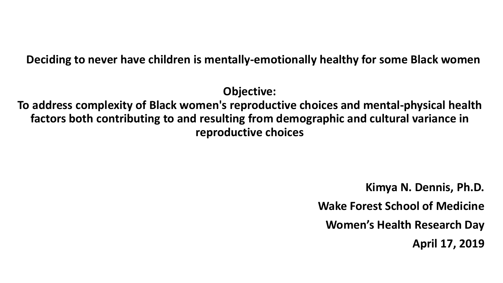#### **Deciding to never have children is mentally-emotionally healthy for some Black women**

**Objective:** 

**To address complexity of Black women's reproductive choices and mental-physical health factors both contributing to and resulting from demographic and cultural variance in reproductive choices**

> **Kimya N. Dennis, Ph.D. Wake Forest School of Medicine Women's Health Research Day April 17, 2019**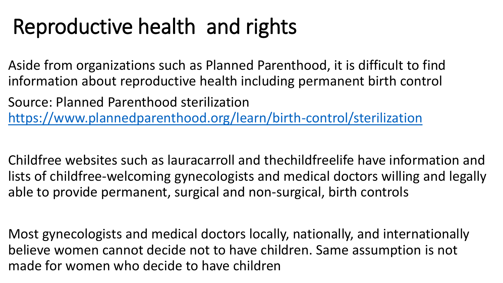# Reproductive health and rights

Aside from organizations such as Planned Parenthood, it is difficult to find information about reproductive health including permanent birth control

Source: Planned Parenthood sterilization <https://www.plannedparenthood.org/learn/birth-control/sterilization>

Childfree websites such as lauracarroll and thechildfreelife have information and lists of childfree-welcoming gynecologists and medical doctors willing and legally able to provide permanent, surgical and non-surgical, birth controls

Most gynecologists and medical doctors locally, nationally, and internationally believe women cannot decide not to have children. Same assumption is not made for women who decide to have children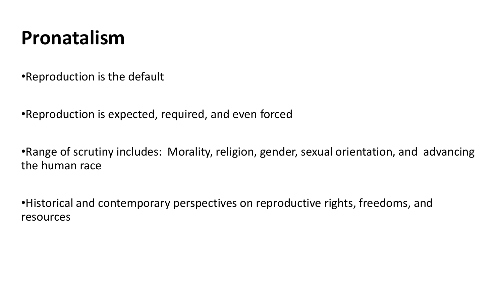### **Pronatalism**

•Reproduction is the default

•Reproduction is expected, required, and even forced

•Range of scrutiny includes: Morality, religion, gender, sexual orientation, and advancing the human race

•Historical and contemporary perspectives on reproductive rights, freedoms, and resources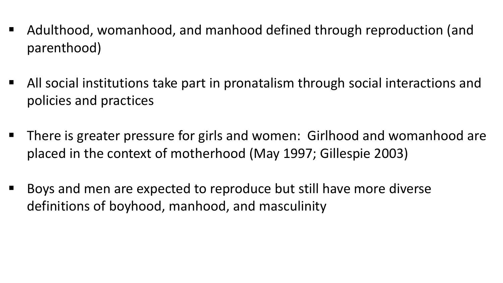- Adulthood, womanhood, and manhood defined through reproduction (and parenthood)
- All social institutions take part in pronatalism through social interactions and policies and practices
- There is greater pressure for girls and women: Girlhood and womanhood are placed in the context of motherhood (May 1997; Gillespie 2003)
- Boys and men are expected to reproduce but still have more diverse definitions of boyhood, manhood, and masculinity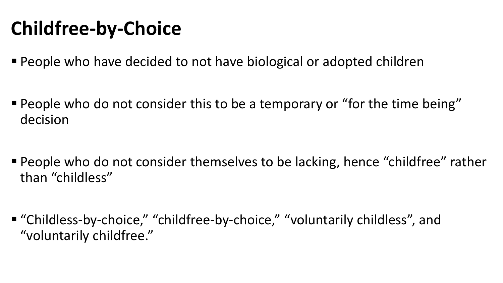### **Childfree-by-Choice**

- People who have decided to not have biological or adopted children
- People who do not consider this to be a temporary or "for the time being" decision
- **People who do not consider themselves to be lacking, hence "childfree" rather** than "childless"
- "Childless-by-choice," "childfree-by-choice," "voluntarily childless", and "voluntarily childfree."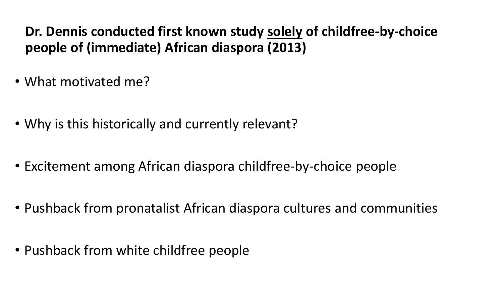### **Dr. Dennis conducted first known study solely of childfree-by-choice people of (immediate) African diaspora (2013)**

- What motivated me?
- Why is this historically and currently relevant?
- Excitement among African diaspora childfree-by-choice people
- Pushback from pronatalist African diaspora cultures and communities
- Pushback from white childfree people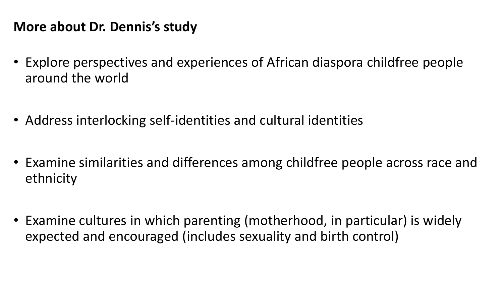### **More about Dr. Dennis's study**

- Explore perspectives and experiences of African diaspora childfree people around the world
- Address interlocking self-identities and cultural identities
- Examine similarities and differences among childfree people across race and ethnicity
- Examine cultures in which parenting (motherhood, in particular) is widely expected and encouraged (includes sexuality and birth control)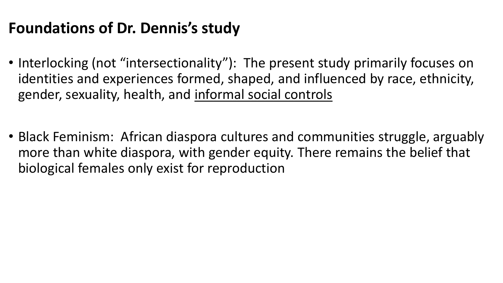### **Foundations of Dr. Dennis's study**

- Interlocking (not "intersectionality"): The present study primarily focuses on identities and experiences formed, shaped, and influenced by race, ethnicity, gender, sexuality, health, and informal social controls
- Black Feminism: African diaspora cultures and communities struggle, arguably more than white diaspora, with gender equity. There remains the belief that biological females only exist for reproduction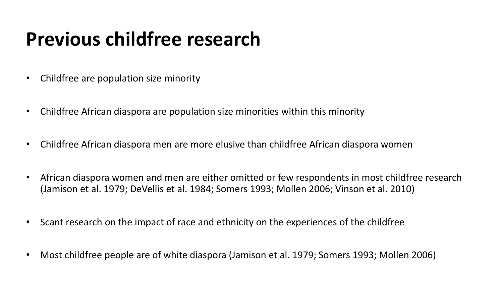### **Previous childfree research**

- Childfree are population size minority
- Childfree African diaspora are population size minorities within this minority
- Childfree African diaspora men are more elusive than childfree African diaspora women
- African diaspora women and men are either omitted or few respondents in most childfree research (Jamison et al. 1979; DeVellis et al. 1984; Somers 1993; Mollen 2006; Vinson et al. 2010)
- Scant research on the impact of race and ethnicity on the experiences of the childfree
- Most childfree people are of white diaspora (Jamison et al. 1979; Somers 1993; Mollen 2006)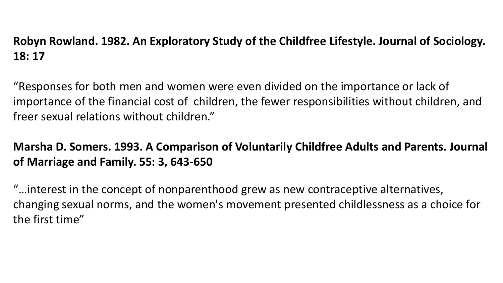#### **Robyn Rowland. 1982. An Exploratory Study of the Childfree Lifestyle. Journal of Sociology. 18: 17**

"Responses for both men and women were even divided on the importance or lack of importance of the financial cost of children, the fewer responsibilities without children, and freer sexual relations without children."

#### **Marsha D. Somers. 1993. A Comparison of Voluntarily Childfree Adults and Parents. Journal of Marriage and Family. 55: 3, 643-650**

"…interest in the concept of nonparenthood grew as new contraceptive alternatives, changing sexual norms, and the women's movement presented childlessness as a choice for the first time"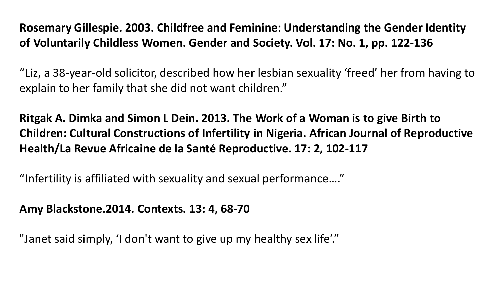**Rosemary Gillespie. 2003. Childfree and Feminine: Understanding the Gender Identity of Voluntarily Childless Women. Gender and Society. Vol. 17: No. 1, pp. 122-136**

"Liz, a 38-year-old solicitor, described how her lesbian sexuality 'freed' her from having to explain to her family that she did not want children."

**Ritgak A. Dimka and Simon L Dein. 2013. The Work of a Woman is to give Birth to Children: Cultural Constructions of Infertility in Nigeria. African Journal of Reproductive Health/La Revue Africaine de la Santé Reproductive. 17: 2, 102-117** 

"Infertility is affiliated with sexuality and sexual performance…."

**Amy Blackstone.2014. Contexts. 13: 4, 68-70**

"Janet said simply, 'I don't want to give up my healthy sex life'."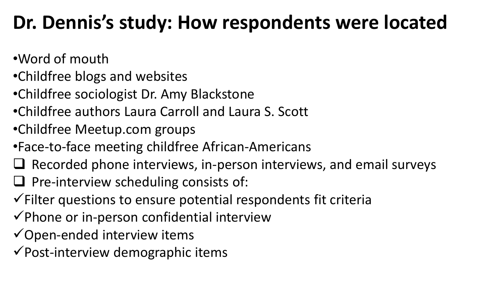### **Dr. Dennis's study: How respondents were located**

- •Word of mouth
- •Childfree blogs and websites
- •Childfree sociologist Dr. Amy Blackstone
- •Childfree authors Laura Carroll and Laura S. Scott
- •Childfree Meetup.com groups
- •Face-to-face meeting childfree African-Americans
- $\Box$  Recorded phone interviews, in-person interviews, and email surveys
- $\Box$  Pre-interview scheduling consists of:
- $\checkmark$  Filter questions to ensure potential respondents fit criteria
- $\checkmark$  Phone or in-person confidential interview
- $\checkmark$  Open-ended interview items
- $\checkmark$  Post-interview demographic items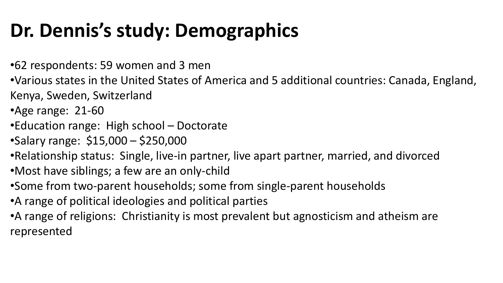## **Dr. Dennis's study: Demographics**

- •62 respondents: 59 women and 3 men
- •Various states in the United States of America and 5 additional countries: Canada, England, Kenya, Sweden, Switzerland
- •Age range: 21-60
- •Education range: High school Doctorate
- •Salary range: \$15,000 \$250,000
- •Relationship status: Single, live-in partner, live apart partner, married, and divorced
- •Most have siblings; a few are an only-child
- •Some from two-parent households; some from single-parent households
- •A range of political ideologies and political parties
- •A range of religions: Christianity is most prevalent but agnosticism and atheism are represented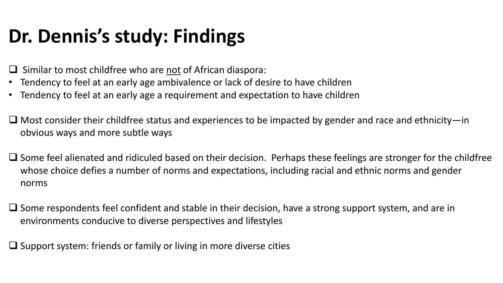### **Dr. Dennis's study: Findings**

- Similar to most childfree who are not of African diaspora:
- Tendency to feel at an early age ambivalence or lack of desire to have children
- Tendency to feel at an early age a requirement and expectation to have children
- $\Box$  Most consider their childfree status and experiences to be impacted by gender and race and ethnicity—in obvious ways and more subtle ways
- $\Box$  Some feel alienated and ridiculed based on their decision. Perhaps these feelings are stronger for the childfree whose choice defies a number of norms and expectations, including racial and ethnic norms and gender norms
- $\Box$  Some respondents feel confident and stable in their decision, have a strong support system, and are in environments conducive to diverse perspectives and lifestyles

 $\Box$  Support system: friends or family or living in more diverse cities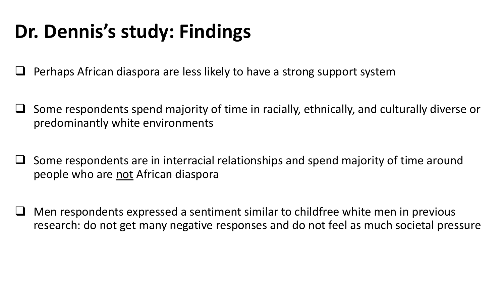### **Dr. Dennis's study: Findings**

Perhaps African diaspora are less likely to have a strong support system

- $\Box$  Some respondents spend majority of time in racially, ethnically, and culturally diverse or predominantly white environments
- $\Box$  Some respondents are in interracial relationships and spend majority of time around people who are not African diaspora
- Men respondents expressed a sentiment similar to childfree white men in previous research: do not get many negative responses and do not feel as much societal pressure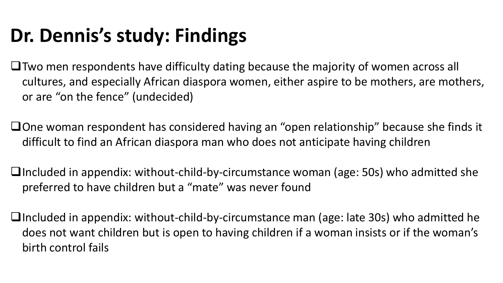# **Dr. Dennis's study: Findings**

- $\Box$  Two men respondents have difficulty dating because the majority of women across all cultures, and especially African diaspora women, either aspire to be mothers, are mothers, or are "on the fence" (undecided)
- □One woman respondent has considered having an "open relationship" because she finds it difficult to find an African diaspora man who does not anticipate having children
- $\Box$ Included in appendix: without-child-by-circumstance woman (age: 50s) who admitted she preferred to have children but a "mate" was never found
- **Included in appendix: without-child-by-circumstance man (age: late 30s) who admitted he** does not want children but is open to having children if a woman insists or if the woman's birth control fails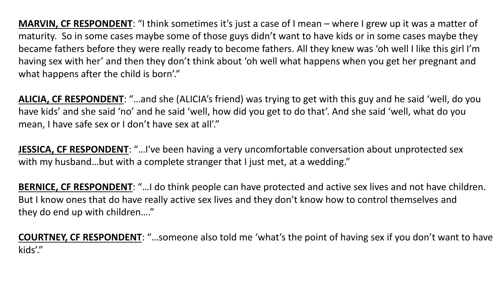**MARVIN, CF RESPONDENT**: "I think sometimes it's just a case of I mean – where I grew up it was a matter of maturity. So in some cases maybe some of those guys didn't want to have kids or in some cases maybe they became fathers before they were really ready to become fathers. All they knew was 'oh well I like this girl I'm having sex with her' and then they don't think about 'oh well what happens when you get her pregnant and what happens after the child is born'."

**ALICIA, CF RESPONDENT**: "…and she (ALICIA's friend) was trying to get with this guy and he said 'well, do you have kids' and she said 'no' and he said 'well, how did you get to do that'. And she said 'well, what do you mean, I have safe sex or I don't have sex at all'."

**JESSICA, CF RESPONDENT**: "…I've been having a very uncomfortable conversation about unprotected sex with my husband...but with a complete stranger that I just met, at a wedding."

**BERNICE, CF RESPONDENT**: "…I do think people can have protected and active sex lives and not have children. But I know ones that do have really active sex lives and they don't know how to control themselves and they do end up with children…."

**COURTNEY, CF RESPONDENT**: "…someone also told me 'what's the point of having sex if you don't want to have kids'."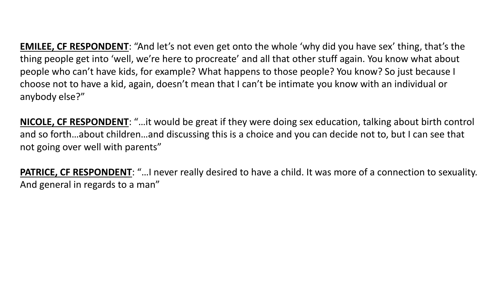**EMILEE, CF RESPONDENT**: "And let's not even get onto the whole 'why did you have sex' thing, that's the thing people get into 'well, we're here to procreate' and all that other stuff again. You know what about people who can't have kids, for example? What happens to those people? You know? So just because I choose not to have a kid, again, doesn't mean that I can't be intimate you know with an individual or anybody else?"

**NICOLE, CF RESPONDENT**: "…it would be great if they were doing sex education, talking about birth control and so forth…about children…and discussing this is a choice and you can decide not to, but I can see that not going over well with parents"

**PATRICE, CF RESPONDENT**: "…I never really desired to have a child. It was more of a connection to sexuality. And general in regards to a man"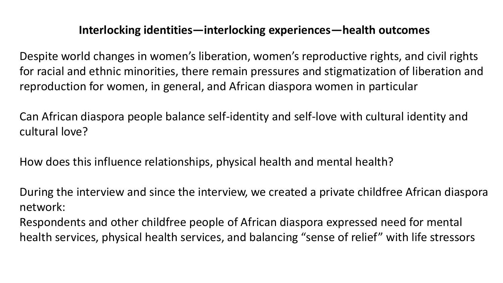#### **Interlocking identities—interlocking experiences—health outcomes**

Despite world changes in women's liberation, women's reproductive rights, and civil rights for racial and ethnic minorities, there remain pressures and stigmatization of liberation and reproduction for women, in general, and African diaspora women in particular

Can African diaspora people balance self-identity and self-love with cultural identity and cultural love?

How does this influence relationships, physical health and mental health?

During the interview and since the interview, we created a private childfree African diaspora network:

Respondents and other childfree people of African diaspora expressed need for mental health services, physical health services, and balancing "sense of relief" with life stressors